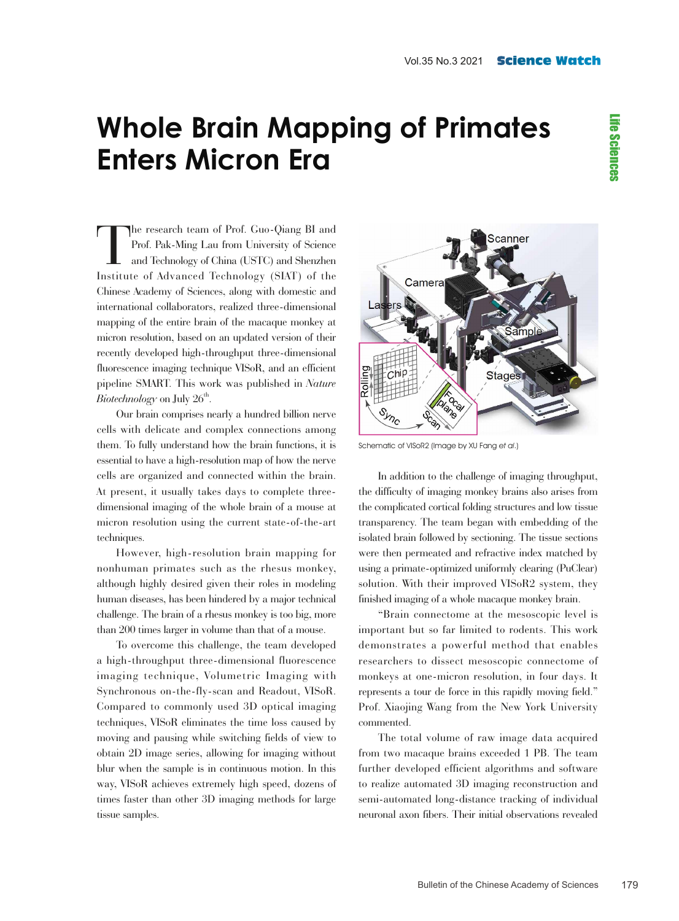## **Whole Brain Mapping of Primates Enters Micron Era**

The research team of Prof. Guo-Qiang BI and<br>Prof. Pak-Ming Lau from University of Science<br>and Technology of China (USTC) and Shenzhen<br>Institute of Advanced Technology (SIAT) of the Prof. Pak-Ming Lau from University of Science and Technology of China (USTC) and Shenzhen Institute of Advanced Technology (SIAT) of the Chinese Academy of Sciences, along with domestic and international collaborators, realized three-dimensional mapping of the entire brain of the macaque monkey at micron resolution, based on an updated version of their recently developed high-throughput three-dimensional fluorescence imaging technique VISoR, and an efficient pipeline SMART. This work was published in *Nature*   $\emph{Biotechnology}$  on July  $26^{\rm th}.$ 

Our brain comprises nearly a hundred billion nerve cells with delicate and complex connections among them. To fully understand how the brain functions, it is essential to have a high-resolution map of how the nerve cells are organized and connected within the brain. At present, it usually takes days to complete threedimensional imaging of the whole brain of a mouse at micron resolution using the current state-of-the-art techniques.

However, high-resolution brain mapping for nonhuman primates such as the rhesus monkey, although highly desired given their roles in modeling human diseases, has been hindered by a major technical challenge. The brain of a rhesus monkey is too big, more than 200 times larger in volume than that of a mouse.

To overcome this challenge, the team developed a high-throughput three-dimensional fluorescence imaging technique, Volumetric Imaging with Synchronous on-the-fly-scan and Readout, VISoR. Compared to commonly used 3D optical imaging techniques, VISoR eliminates the time loss caused by moving and pausing while switching fields of view to obtain 2D image series, allowing for imaging without blur when the sample is in continuous motion. In this way, VISoR achieves extremely high speed, dozens of times faster than other 3D imaging methods for large tissue samples.



Schematic of VISoR2 (Image by XU Fang et al.)

In addition to the challenge of imaging throughput, the difficulty of imaging monkey brains also arises from the complicated cortical folding structures and low tissue transparency. The team began with embedding of the isolated brain followed by sectioning. The tissue sections were then permeated and refractive index matched by using a primate-optimized uniformly clearing (PuClear) solution. With their improved VISoR2 system, they finished imaging of a whole macaque monkey brain.

"Brain connectome at the mesoscopic level is important but so far limited to rodents. This work demonstrates a powerful method that enables researchers to dissect mesoscopic connectome of monkeys at one-micron resolution, in four days. It represents a tour de force in this rapidly moving field." Prof. Xiaojing Wang from the New York University commented.

The total volume of raw image data acquired from two macaque brains exceeded 1 PB. The team further developed efficient algorithms and software to realize automated 3D imaging reconstruction and semi-automated long-distance tracking of individual neuronal axon fibers. Their initial observations revealed